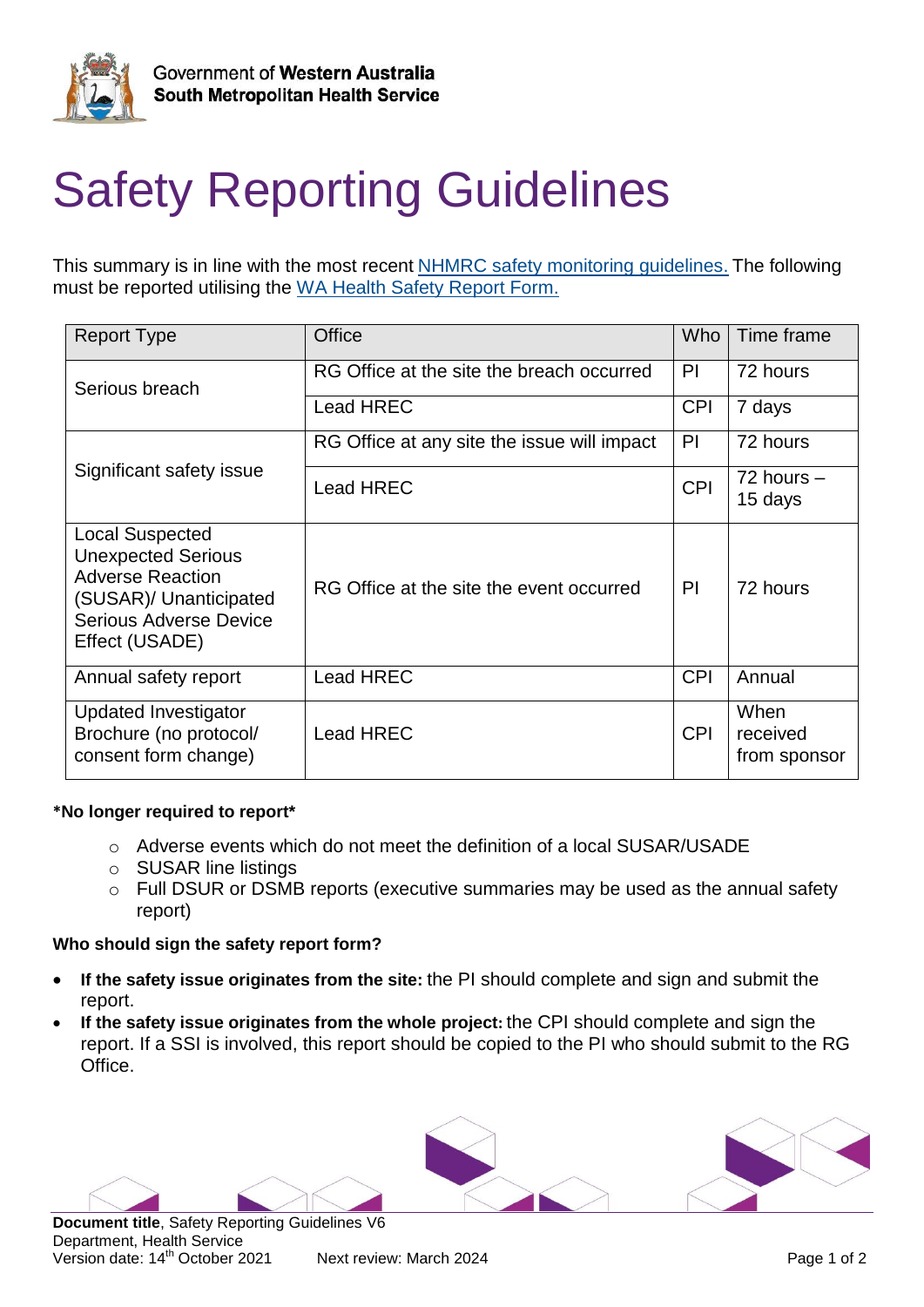

# Safety Reporting Guidelines

This summary is in line with the most recent [NHMRC safety monitoring guidelines.](https://www.nhmrc.gov.au/about-us/publications/safety-monitoring-and-reporting-clinical-trials-involving-therapeutic-goods) The following must be reported utilising the [WA Health Safety Report Form.](https://rgs.health.wa.gov.au/Pages/Login.aspx)

| <b>Report Type</b>                                                                                                                                          | <b>Office</b>                               | Who        | Time frame                       |
|-------------------------------------------------------------------------------------------------------------------------------------------------------------|---------------------------------------------|------------|----------------------------------|
| Serious breach                                                                                                                                              | RG Office at the site the breach occurred   | PI         | 72 hours                         |
|                                                                                                                                                             | <b>Lead HREC</b>                            | <b>CPI</b> | 7 days                           |
| Significant safety issue                                                                                                                                    | RG Office at any site the issue will impact | PI         | 72 hours                         |
|                                                                                                                                                             | <b>Lead HREC</b>                            | <b>CPI</b> | $72$ hours $-$<br>15 days        |
| <b>Local Suspected</b><br><b>Unexpected Serious</b><br><b>Adverse Reaction</b><br>(SUSAR)/ Unanticipated<br><b>Serious Adverse Device</b><br>Effect (USADE) | RG Office at the site the event occurred    | PI         | 72 hours                         |
| Annual safety report                                                                                                                                        | <b>Lead HREC</b>                            | <b>CPI</b> | Annual                           |
| <b>Updated Investigator</b><br>Brochure (no protocol/<br>consent form change)                                                                               | <b>Lead HREC</b>                            | <b>CPI</b> | When<br>received<br>from sponsor |

### **\*No longer required to report\***

- o Adverse events which do not meet the definition of a local SUSAR/USADE
- o SUSAR line listings
- o Full DSUR or DSMB reports (executive summaries may be used as the annual safety report)

#### **Who should sign the safety report form?**

- **If the safety issue originates from the site:** the PI should complete and sign and submit the report.
- **If the safety issue originates from the whole project:** the CPI should complete and sign the report. If a SSI is involved, this report should be copied to the PI who should submit to the RG Office.



**Document title**, Safety Reporting Guidelines V6 Department, Health Service Version date: 14<sup>th</sup> October 2021 Next review: March 2024 **Page 1 of 2** Page 1 of 2